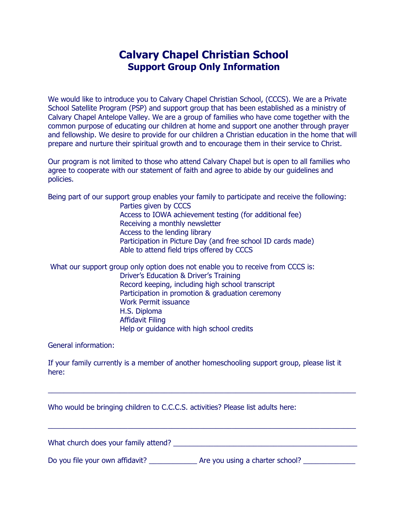## **Calvary Chapel Christian School Support Group Only Information**

We would like to introduce you to Calvary Chapel Christian School, (CCCS). We are a Private School Satellite Program (PSP) and support group that has been established as a ministry of Calvary Chapel Antelope Valley. We are a group of families who have come together with the common purpose of educating our children at home and support one another through prayer and fellowship. We desire to provide for our children a Christian education in the home that will prepare and nurture their spiritual growth and to encourage them in their service to Christ.

Our program is not limited to those who attend Calvary Chapel but is open to all families who agree to cooperate with our statement of faith and agree to abide by our guidelines and policies.

Being part of our support group enables your family to participate and receive the following:

Parties given by CCCS Access to IOWA achievement testing (for additional fee) Receiving a monthly newsletter Access to the lending library Participation in Picture Day (and free school ID cards made) Able to attend field trips offered by CCCS

What our support group only option does not enable you to receive from CCCS is: Driver's Education & Driver's Training Record keeping, including high school transcript Participation in promotion & graduation ceremony Work Permit issuance H.S. Diploma Affidavit Filing Help or guidance with high school credits

General information:

If your family currently is a member of another homeschooling support group, please list it here:

 $\_$  , and the set of the set of the set of the set of the set of the set of the set of the set of the set of the set of the set of the set of the set of the set of the set of the set of the set of the set of the set of th

 $\_$  , and the set of the set of the set of the set of the set of the set of the set of the set of the set of the set of the set of the set of the set of the set of the set of the set of the set of the set of the set of th

Who would be bringing children to C.C.C.S. activities? Please list adults here:

What church does your family attend? The state of the state of the state of the state of the state of the state of the state of the state of the state of the state of the state of the state of the state of the state of the

Do you file your own affidavit? <br>
Are you using a charter school?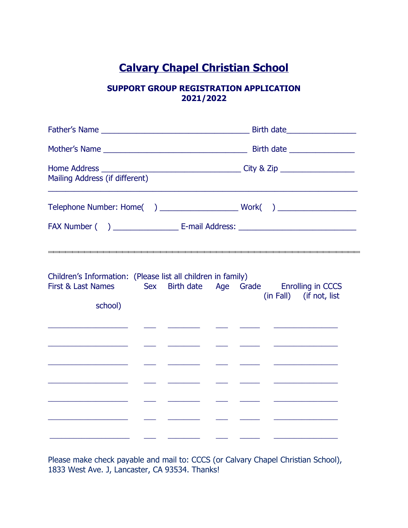# **Calvary Chapel Christian School**

#### **SUPPORT GROUP REGISTRATION APPLICATION 2021/2022**

|                                                                                                                                                                    |  |                                                                                                                      |  | Birth date___________________    |                              |                                                        |  |
|--------------------------------------------------------------------------------------------------------------------------------------------------------------------|--|----------------------------------------------------------------------------------------------------------------------|--|----------------------------------|------------------------------|--------------------------------------------------------|--|
|                                                                                                                                                                    |  |                                                                                                                      |  |                                  | Birth date _________________ |                                                        |  |
| Mailing Address (if different)                                                                                                                                     |  |                                                                                                                      |  |                                  |                              |                                                        |  |
|                                                                                                                                                                    |  |                                                                                                                      |  |                                  |                              |                                                        |  |
|                                                                                                                                                                    |  |                                                                                                                      |  |                                  |                              |                                                        |  |
|                                                                                                                                                                    |  |                                                                                                                      |  |                                  |                              |                                                        |  |
| Children's Information: (Please list all children in family)<br>First & Last Names<br>school)                                                                      |  | Sex Birth date Age Grade Enrolling in CCCS                                                                           |  |                                  |                              | (in Fall) (if not, list                                |  |
|                                                                                                                                                                    |  |                                                                                                                      |  |                                  |                              | <u> 1980 - Johann Barnett, fransk politik (</u>        |  |
|                                                                                                                                                                    |  |                                                                                                                      |  |                                  |                              |                                                        |  |
| <u> 1989 - Johann John Stone, markin f</u><br><u> 1989 - Andrea State Barbara, política establecente de la propia de la propia de la propia de la propia de la</u> |  | <u> Liste de la construcción de la construcción de la construcción de la construcción de la construcción de la c</u> |  | <u> 1980 - Jan Samuel III, p</u> |                              | <u> 1980 - Andrea Maria Alemania, prima alemania (</u> |  |
|                                                                                                                                                                    |  |                                                                                                                      |  |                                  |                              |                                                        |  |
|                                                                                                                                                                    |  |                                                                                                                      |  |                                  |                              |                                                        |  |
|                                                                                                                                                                    |  |                                                                                                                      |  | <u> 1989 - Johann Barnett, f</u> |                              |                                                        |  |

Please make check payable and mail to: CCCS (or Calvary Chapel Christian School), 1833 West Ave. J, Lancaster, CA 93534. Thanks!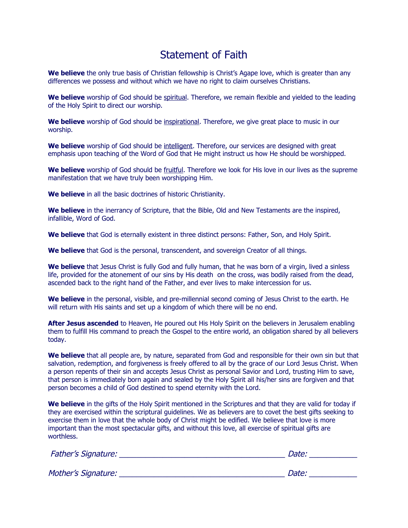## Statement of Faith

We believe the only true basis of Christian fellowship is Christ's Agape love, which is greater than any differences we possess and without which we have no right to claim ourselves Christians.

We believe worship of God should be spiritual. Therefore, we remain flexible and yielded to the leading of the Holy Spirit to direct our worship.

**We believe** worship of God should be inspirational. Therefore, we give great place to music in our worship.

**We believe** worship of God should be intelligent. Therefore, our services are designed with great emphasis upon teaching of the Word of God that He might instruct us how He should be worshipped.

**We believe** worship of God should be fruitful. Therefore we look for His love in our lives as the supreme manifestation that we have truly been worshipping Him.

**We believe** in all the basic doctrines of historic Christianity.

**We believe** in the inerrancy of Scripture, that the Bible, Old and New Testaments are the inspired, infallible, Word of God.

**We believe** that God is eternally existent in three distinct persons: Father, Son, and Holy Spirit.

**We believe** that God is the personal, transcendent, and sovereign Creator of all things.

We believe that Jesus Christ is fully God and fully human, that he was born of a virgin, lived a sinless life, provided for the atonement of our sins by His death on the cross, was bodily raised from the dead, ascended back to the right hand of the Father, and ever lives to make intercession for us.

**We believe** in the personal, visible, and pre-millennial second coming of Jesus Christ to the earth. He will return with His saints and set up a kingdom of which there will be no end.

**After Jesus ascended** to Heaven, He poured out His Holy Spirit on the believers in Jerusalem enabling them to fulfill His command to preach the Gospel to the entire world, an obligation shared by all believers today.

**We believe** that all people are, by nature, separated from God and responsible for their own sin but that salvation, redemption, and forgiveness is freely offered to all by the grace of our Lord Jesus Christ. When a person repents of their sin and accepts Jesus Christ as personal Savior and Lord, trusting Him to save, that person is immediately born again and sealed by the Holy Spirit all his/her sins are forgiven and that person becomes a child of God destined to spend eternity with the Lord.

**We believe** in the gifts of the Holy Spirit mentioned in the Scriptures and that they are valid for today if they are exercised within the scriptural guidelines. We as believers are to covet the best gifts seeking to exercise them in love that the whole body of Christ might be edified. We believe that love is more important than the most spectacular gifts, and without this love, all exercise of spiritual gifts are worthless.

| <b>Father's Signature:</b> | Date: |
|----------------------------|-------|
|                            |       |
| Mother's Signature:        | Date: |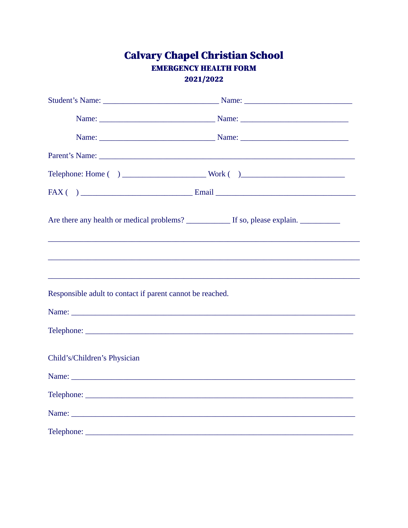# **Calvary Chapel Christian School EMERGENCY HEALTH FORM**

2021/2022

|                                                           | <u> 1989 - Johann Barbara, martxa alemaniar argumentuar argumentuar argumentuar argumentuar argumentuar argumentu</u> |  |
|-----------------------------------------------------------|-----------------------------------------------------------------------------------------------------------------------|--|
| Responsible adult to contact if parent cannot be reached. |                                                                                                                       |  |
|                                                           |                                                                                                                       |  |
|                                                           |                                                                                                                       |  |
| Child's/Children's Physician                              |                                                                                                                       |  |
|                                                           |                                                                                                                       |  |
|                                                           |                                                                                                                       |  |
|                                                           |                                                                                                                       |  |
|                                                           |                                                                                                                       |  |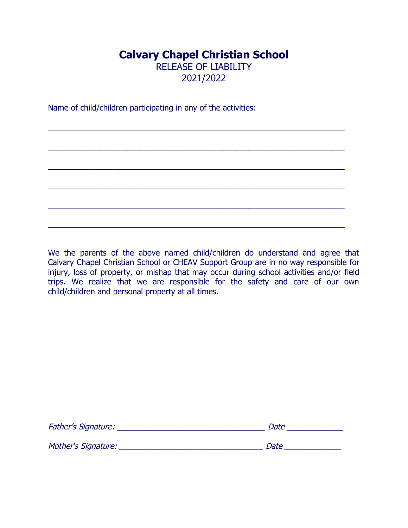### **Calvary Chapel Christian School** RELEASE OF LIABILITY 2021/2022

\_\_\_\_\_\_\_\_\_\_\_\_\_\_\_\_\_\_\_\_\_\_\_\_\_\_\_\_\_\_\_\_\_\_\_\_\_\_\_\_\_\_\_\_\_\_\_\_\_\_\_\_\_\_\_\_\_\_\_\_\_\_\_\_\_\_\_\_

\_\_\_\_\_\_\_\_\_\_\_\_\_\_\_\_\_\_\_\_\_\_\_\_\_\_\_\_\_\_\_\_\_\_\_\_\_\_\_\_\_\_\_\_\_\_\_\_\_\_\_\_\_\_\_\_\_\_\_\_\_\_\_\_\_\_\_\_

\_\_\_\_\_\_\_\_\_\_\_\_\_\_\_\_\_\_\_\_\_\_\_\_\_\_\_\_\_\_\_\_\_\_\_\_\_\_\_\_\_\_\_\_\_\_\_\_\_\_\_\_\_\_\_\_\_\_\_\_\_\_\_\_\_\_\_\_

\_\_\_\_\_\_\_\_\_\_\_\_\_\_\_\_\_\_\_\_\_\_\_\_\_\_\_\_\_\_\_\_\_\_\_\_\_\_\_\_\_\_\_\_\_\_\_\_\_\_\_\_\_\_\_\_\_\_\_\_\_\_\_\_\_\_\_\_

\_\_\_\_\_\_\_\_\_\_\_\_\_\_\_\_\_\_\_\_\_\_\_\_\_\_\_\_\_\_\_\_\_\_\_\_\_\_\_\_\_\_\_\_\_\_\_\_\_\_\_\_\_\_\_\_\_\_\_\_\_\_\_\_\_\_\_\_

\_\_\_\_\_\_\_\_\_\_\_\_\_\_\_\_\_\_\_\_\_\_\_\_\_\_\_\_\_\_\_\_\_\_\_\_\_\_\_\_\_\_\_\_\_\_\_\_\_\_\_\_\_\_\_\_\_\_\_\_\_\_\_\_\_\_\_\_

Name of child/children participating in any of the activities:

We the parents of the above named child/children do understand and agree that Calvary Chapel Christian School or CHEAV Support Group are in no way responsible for injury, loss of property, or mishap that may occur during school activities and/or field trips. We realize that we are responsible for the safety and care of our own child/children and personal property at all times.

| <b>Father's Signature:</b> | Date |
|----------------------------|------|
| Mother's Signature:        | Date |
|                            |      |